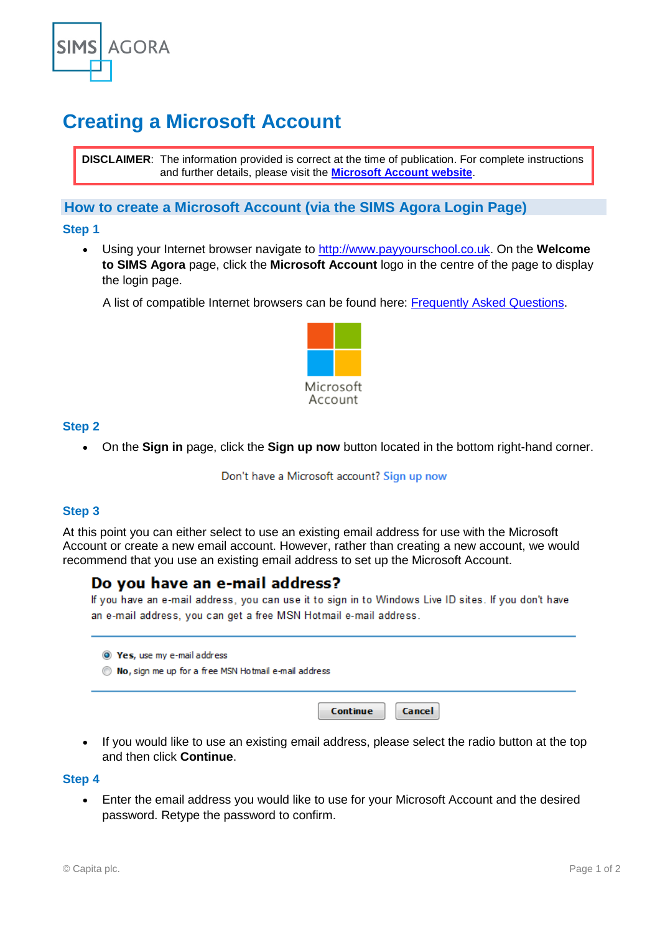

# **Creating a Microsoft Account**

**DISCLAIMER**: The information provided is correct at the time of publication. For complete instructions and further details, please visit the **[Microsoft Account website](http://windows.microsoft.com/en-GB/windows-live/sign-up-create-account-how)**.

# **How to create a Microsoft Account (via the SIMS Agora Login Page)**

#### **Step 1**

• Using your Internet browser navigate to [http://www.payyourschool.co.uk.](http://www.payyourschool.co.uk/) On the **Welcome to SIMS Agora** page, click the **Microsoft Account** logo in the centre of the page to display the login page.

A list of compatible Internet browsers can be found here: [Frequently Asked Questions.](https://www.capita-sims.co.uk/sims-agora-frequently-asked-questions-0)



### **Step 2**

• On the **Sign in** page, click the **Sign up now** button located in the bottom right-hand corner.

Don't have a Microsoft account? Sign up now

# **Step 3**

At this point you can either select to use an existing email address for use with the Microsoft Account or create a new email account. However, rather than creating a new account, we would recommend that you use an existing email address to set up the Microsoft Account.

# Do you have an e-mail address?

If you have an e-mail address, you can use it to sign in to Windows Live ID sites. If you don't have an e-mail address, you can get a free MSN Hotmail e-mail address.

| <sup>O</sup> Yes, use my e-mail address<br>No, sign me up for a free MSN Hotmail e-mail address |                    |
|-------------------------------------------------------------------------------------------------|--------------------|
|                                                                                                 | Cancel<br>Continue |

• If you would like to use an existing email address, please select the radio button at the top and then click **Continue**.

#### **Step 4**

• Enter the email address you would like to use for your Microsoft Account and the desired password. Retype the password to confirm.